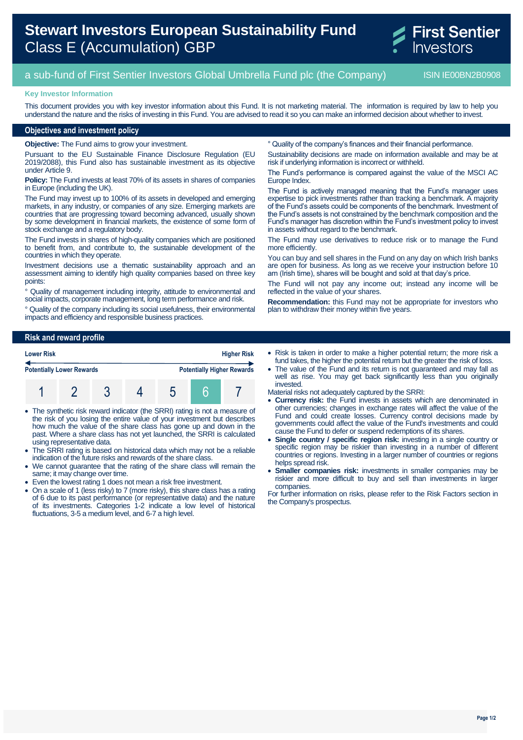# **Stewart Investors European Sustainability Fund** Class E (Accumulation) GBP



## a sub-fund of First Sentier Investors Global Umbrella Fund plc (the Company) ISIN IE00BN2B0908

#### **Key Investor Information**

This document provides you with key investor information about this Fund. It is not marketing material. The information is required by law to help you understand the nature and the risks of investing in this Fund. You are advised to read it so you can make an informed decision about whether to invest.

#### **Objectives and investment policy**

**Objective:** The Fund aims to grow your investment.

Pursuant to the EU Sustainable Finance Disclosure Regulation (EU 2019/2088), this Fund also has sustainable investment as its objective under Article 9.

**Policy:** The Fund invests at least 70% of its assets in shares of companies in Europe (including the UK).

The Fund may invest up to 100% of its assets in developed and emerging markets, in any industry, or companies of any size. Emerging markets are countries that are progressing toward becoming advanced, usually shown by some development in financial markets, the existence of some form of stock exchange and a regulatory body.

The Fund invests in shares of high-quality companies which are positioned to benefit from, and contribute to, the sustainable development of the countries in which they operate.

Investment decisions use a thematic sustainability approach and an assessment aiming to identify high quality companies based on three key points:

Quality of management including integrity, attitude to environmental and social impacts, corporate management, long term performance and risk.

° Quality of the company including its social usefulness, their environmental impacts and efficiency and responsible business practices.

° Quality of the company's finances and their financial performance.

Sustainability decisions are made on information available and may be at risk if underlying information is incorrect or withheld.

The Fund's performance is compared against the value of the MSCI AC Europe Index.

The Fund is actively managed meaning that the Fund's manager uses expertise to pick investments rather than tracking a benchmark. A majority of the Fund's assets could be components of the benchmark. Investment of the Fund's assets is not constrained by the benchmark composition and the Fund's manager has discretion within the Fund's investment policy to invest in assets without regard to the benchmark.

The Fund may use derivatives to reduce risk or to manage the Fund more efficiently.

You can buy and sell shares in the Fund on any day on which Irish banks are open for business. As long as we receive your instruction before 10 am (Irish time), shares will be bought and sold at that day's price.

The Fund will not pay any income out; instead any income will be reflected in the value of your shares.

**Recommendation:** this Fund may not be appropriate for investors who plan to withdraw their money within five years.

#### **Risk and reward profile**

| <b>Lower Risk</b>                |  |  | <b>Higher Risk</b> |                                   |  |  |
|----------------------------------|--|--|--------------------|-----------------------------------|--|--|
| <b>Potentially Lower Rewards</b> |  |  |                    | <b>Potentially Higher Rewards</b> |  |  |
|                                  |  |  |                    |                                   |  |  |

- The synthetic risk reward indicator (the SRRI) rating is not a measure of the risk of you losing the entire value of your investment but describes how much the value of the share class has gone up and down in the past. Where a share class has not yet launched, the SRRI is calculated using representative data.
- The SRRI rating is based on historical data which may not be a reliable indication of the future risks and rewards of the share class.
- We cannot guarantee that the rating of the share class will remain the same; it may change over time.
- Even the lowest rating 1 does not mean a risk free investment.
- On a scale of 1 (less risky) to 7 (more risky), this share class has a rating of 6 due to its past performance (or representative data) and the nature of its investments. Categories 1-2 indicate a low level of historical fluctuations, 3-5 a medium level, and 6-7 a high level.
- Risk is taken in order to make a higher potential return; the more risk a fund takes, the higher the potential return but the greater the risk of loss.
- The value of the Fund and its return is not guaranteed and may fall as well as rise. You may get back significantly less than you originally invested.
- Material risks not adequately captured by the SRRI:
- **Currency risk:** the Fund invests in assets which are denominated in other currencies; changes in exchange rates will affect the value of the Fund and could create losses. Currency control decisions made by governments could affect the value of the Fund's investments and could cause the Fund to defer or suspend redemptions of its shares.
- **Single country / specific region risk:** investing in a single country or specific region may be riskier than investing in a number of different countries or regions. Investing in a larger number of countries or regions helps spread risk.
- **Smaller companies risk:** investments in smaller companies may be riskier and more difficult to buy and sell than investments in larger companies.

For further information on risks, please refer to the Risk Factors section in the Company's prospectus.